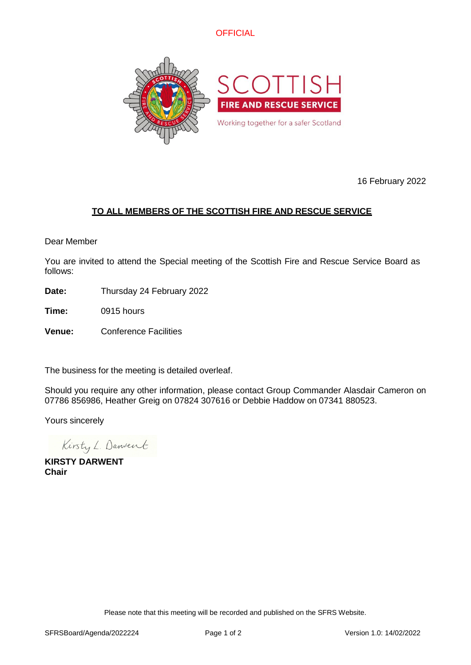



16 February 2022

# **TO ALL MEMBERS OF THE SCOTTISH FIRE AND RESCUE SERVICE**

Dear Member

You are invited to attend the Special meeting of the Scottish Fire and Rescue Service Board as follows:

**Date:** Thursday 24 February 2022

**Time:** 0915 hours

**Venue:** Conference Facilities

The business for the meeting is detailed overleaf.

Should you require any other information, please contact Group Commander Alasdair Cameron on 07786 856986, Heather Greig on 07824 307616 or Debbie Haddow on 07341 880523.

Yours sincerely

Kirsty L. Danvent

**KIRSTY DARWENT Chair**

Please note that this meeting will be recorded and published on the SFRS Website.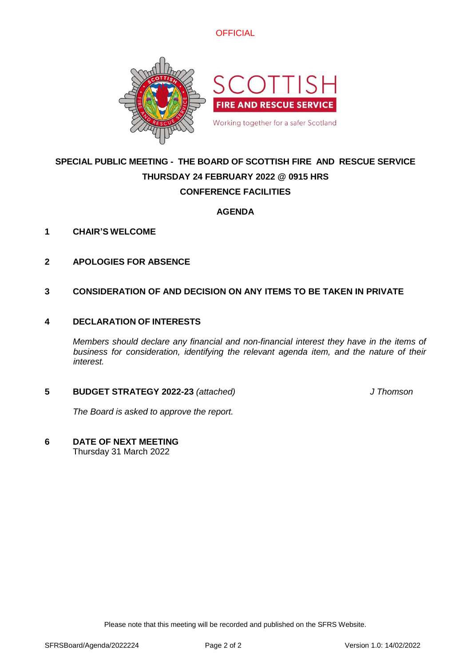



# **SPECIAL PUBLIC MEETING - THE BOARD OF SCOTTISH FIRE AND RESCUE SERVICE THURSDAY 24 FEBRUARY 2022 @ 0915 HRS CONFERENCE FACILITIES**

# **AGENDA**

- **1 CHAIR'S WELCOME**
- **2 APOLOGIES FOR ABSENCE**
- **3 CONSIDERATION OF AND DECISION ON ANY ITEMS TO BE TAKEN IN PRIVATE**

### **4 DECLARATION OF INTERESTS**

*Members should declare any financial and non-financial interest they have in the items of business for consideration, identifying the relevant agenda item, and the nature of their interest.*

### **5 BUDGET STRATEGY 2022-23** *(attached) J Thomson*

*The Board is asked to approve the report.*

**6 DATE OF NEXT MEETING**

Thursday 31 March 2022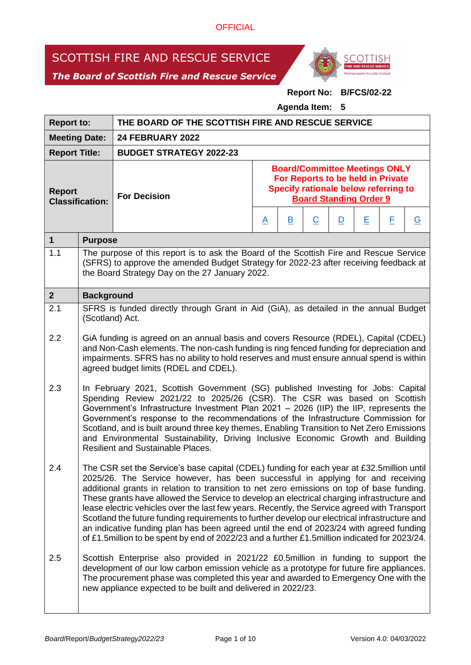# SCOTTISH FIRE AND RESCUE SERVICE





# **Report No: B/FCS/02-22**

**Agenda Item: 5**

| <b>Report to:</b>                       |                                                                                                                                                                                                                                                                                                                                                                                                                                                                                                                                                                                                                                                                                                                                                                      | THE BOARD OF THE SCOTTISH FIRE AND RESCUE SERVICE                                                                                                                                                                                                                                                                   |                                                                                                                                                           |                         |                |                         |   |   |                |
|-----------------------------------------|----------------------------------------------------------------------------------------------------------------------------------------------------------------------------------------------------------------------------------------------------------------------------------------------------------------------------------------------------------------------------------------------------------------------------------------------------------------------------------------------------------------------------------------------------------------------------------------------------------------------------------------------------------------------------------------------------------------------------------------------------------------------|---------------------------------------------------------------------------------------------------------------------------------------------------------------------------------------------------------------------------------------------------------------------------------------------------------------------|-----------------------------------------------------------------------------------------------------------------------------------------------------------|-------------------------|----------------|-------------------------|---|---|----------------|
| <b>Meeting Date:</b>                    |                                                                                                                                                                                                                                                                                                                                                                                                                                                                                                                                                                                                                                                                                                                                                                      | <b>24 FEBRUARY 2022</b>                                                                                                                                                                                                                                                                                             |                                                                                                                                                           |                         |                |                         |   |   |                |
| <b>Report Title:</b>                    |                                                                                                                                                                                                                                                                                                                                                                                                                                                                                                                                                                                                                                                                                                                                                                      | <b>BUDGET STRATEGY 2022-23</b>                                                                                                                                                                                                                                                                                      |                                                                                                                                                           |                         |                |                         |   |   |                |
| <b>Report</b><br><b>Classification:</b> |                                                                                                                                                                                                                                                                                                                                                                                                                                                                                                                                                                                                                                                                                                                                                                      | <b>For Decision</b>                                                                                                                                                                                                                                                                                                 | <b>Board/Committee Meetings ONLY</b><br>For Reports to be held in Private<br><b>Specify rationale below referring to</b><br><b>Board Standing Order 9</b> |                         |                |                         |   |   |                |
|                                         |                                                                                                                                                                                                                                                                                                                                                                                                                                                                                                                                                                                                                                                                                                                                                                      |                                                                                                                                                                                                                                                                                                                     |                                                                                                                                                           | $\overline{\mathsf{B}}$ | $\overline{C}$ | $\overline{\mathsf{D}}$ | Ε | E | $\overline{G}$ |
| $\mathbf{1}$                            | <b>Purpose</b>                                                                                                                                                                                                                                                                                                                                                                                                                                                                                                                                                                                                                                                                                                                                                       |                                                                                                                                                                                                                                                                                                                     |                                                                                                                                                           |                         |                |                         |   |   |                |
| 1.1                                     |                                                                                                                                                                                                                                                                                                                                                                                                                                                                                                                                                                                                                                                                                                                                                                      | The purpose of this report is to ask the Board of the Scottish Fire and Rescue Service<br>(SFRS) to approve the amended Budget Strategy for 2022-23 after receiving feedback at<br>the Board Strategy Day on the 27 January 2022.                                                                                   |                                                                                                                                                           |                         |                |                         |   |   |                |
| 2 <sup>1</sup>                          | <b>Background</b>                                                                                                                                                                                                                                                                                                                                                                                                                                                                                                                                                                                                                                                                                                                                                    |                                                                                                                                                                                                                                                                                                                     |                                                                                                                                                           |                         |                |                         |   |   |                |
| 2.1                                     |                                                                                                                                                                                                                                                                                                                                                                                                                                                                                                                                                                                                                                                                                                                                                                      | SFRS is funded directly through Grant in Aid (GiA), as detailed in the annual Budget<br>(Scotland) Act.                                                                                                                                                                                                             |                                                                                                                                                           |                         |                |                         |   |   |                |
| 2.2                                     |                                                                                                                                                                                                                                                                                                                                                                                                                                                                                                                                                                                                                                                                                                                                                                      | GiA funding is agreed on an annual basis and covers Resource (RDEL), Capital (CDEL)<br>and Non-Cash elements. The non-cash funding is ring fenced funding for depreciation and<br>impairments. SFRS has no ability to hold reserves and must ensure annual spend is within<br>agreed budget limits (RDEL and CDEL). |                                                                                                                                                           |                         |                |                         |   |   |                |
| 2.3                                     | In February 2021, Scottish Government (SG) published Investing for Jobs: Capital<br>Spending Review 2021/22 to 2025/26 (CSR). The CSR was based on Scottish<br>Government's Infrastructure Investment Plan 2021 - 2026 (IIP) the IIP, represents the<br>Government's response to the recommendations of the Infrastructure Commission for<br>Scotland, and is built around three key themes, Enabling Transition to Net Zero Emissions<br>and Environmental Sustainability, Driving Inclusive Economic Growth and Building<br><b>Resilient and Sustainable Places.</b>                                                                                                                                                                                               |                                                                                                                                                                                                                                                                                                                     |                                                                                                                                                           |                         |                |                         |   |   |                |
| 2.4                                     | The CSR set the Service's base capital (CDEL) funding for each year at £32.5million until<br>2025/26. The Service however, has been successful in applying for and receiving<br>additional grants in relation to transition to net zero emissions on top of base funding.<br>These grants have allowed the Service to develop an electrical charging infrastructure and<br>lease electric vehicles over the last few years. Recently, the Service agreed with Transport<br>Scotland the future funding requirements to further develop our electrical infrastructure and<br>an indicative funding plan has been agreed until the end of 2023/24 with agreed funding<br>of £1.5million to be spent by end of 2022/23 and a further £1.5million indicated for 2023/24. |                                                                                                                                                                                                                                                                                                                     |                                                                                                                                                           |                         |                |                         |   |   |                |
| 2.5                                     | Scottish Enterprise also provided in 2021/22 £0.5million in funding to support the<br>development of our low carbon emission vehicle as a prototype for future fire appliances.<br>The procurement phase was completed this year and awarded to Emergency One with the<br>new appliance expected to be built and delivered in 2022/23.                                                                                                                                                                                                                                                                                                                                                                                                                               |                                                                                                                                                                                                                                                                                                                     |                                                                                                                                                           |                         |                |                         |   |   |                |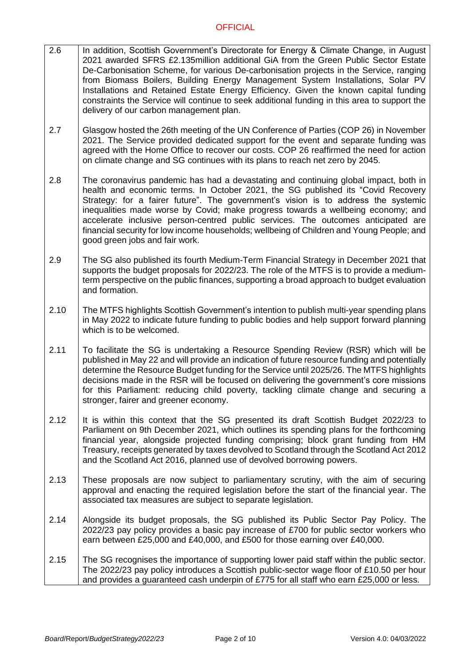- 2.6 In addition, Scottish Government's Directorate for Energy & Climate Change, in August 2021 awarded SFRS £2.135million additional GiA from the Green Public Sector Estate De-Carbonisation Scheme, for various De-carbonisation projects in the Service, ranging from Biomass Boilers, Building Energy Management System Installations, Solar PV Installations and Retained Estate Energy Efficiency. Given the known capital funding constraints the Service will continue to seek additional funding in this area to support the delivery of our carbon management plan.
- 2.7 Glasgow hosted the 26th meeting of the UN Conference of Parties (COP 26) in November 2021. The Service provided dedicated support for the event and separate funding was agreed with the Home Office to recover our costs. COP 26 reaffirmed the need for action on climate change and SG continues with its plans to reach net zero by 2045.
- 2.8 The coronavirus pandemic has had a devastating and continuing global impact, both in health and economic terms. In October 2021, the SG published its "Covid Recovery Strategy: for a fairer future". The government's vision is to address the systemic inequalities made worse by Covid; make progress towards a wellbeing economy; and accelerate inclusive person-centred public services. The outcomes anticipated are financial security for low income households; wellbeing of Children and Young People; and good green jobs and fair work.
- 2.9 The SG also published its fourth Medium-Term Financial Strategy in December 2021 that supports the budget proposals for 2022/23. The role of the MTFS is to provide a mediumterm perspective on the public finances, supporting a broad approach to budget evaluation and formation.
- 2.10 The MTFS highlights Scottish Government's intention to publish multi-year spending plans in May 2022 to indicate future funding to public bodies and help support forward planning which is to be welcomed.
- 2.11 To facilitate the SG is undertaking a Resource Spending Review (RSR) which will be published in May 22 and will provide an indication of future resource funding and potentially determine the Resource Budget funding for the Service until 2025/26. The MTFS highlights decisions made in the RSR will be focused on delivering the government's core missions for this Parliament: reducing child poverty, tackling climate change and securing a stronger, fairer and greener economy.
- 2.12 It is within this context that the SG presented its draft Scottish Budget 2022/23 to Parliament on 9th December 2021, which outlines its spending plans for the forthcoming financial year, alongside projected funding comprising; block grant funding from HM Treasury, receipts generated by taxes devolved to Scotland through the Scotland Act 2012 and the Scotland Act 2016, planned use of devolved borrowing powers.
- 2.13 These proposals are now subject to parliamentary scrutiny, with the aim of securing approval and enacting the required legislation before the start of the financial year. The associated tax measures are subject to separate legislation.
- 2.14 Alongside its budget proposals, the SG published its Public Sector Pay Policy. The 2022/23 pay policy provides a basic pay increase of £700 for public sector workers who earn between £25,000 and £40,000, and £500 for those earning over £40,000.
- 2.15 The SG recognises the importance of supporting lower paid staff within the public sector. The 2022/23 pay policy introduces a Scottish public-sector wage floor of £10.50 per hour and provides a guaranteed cash underpin of £775 for all staff who earn £25,000 or less.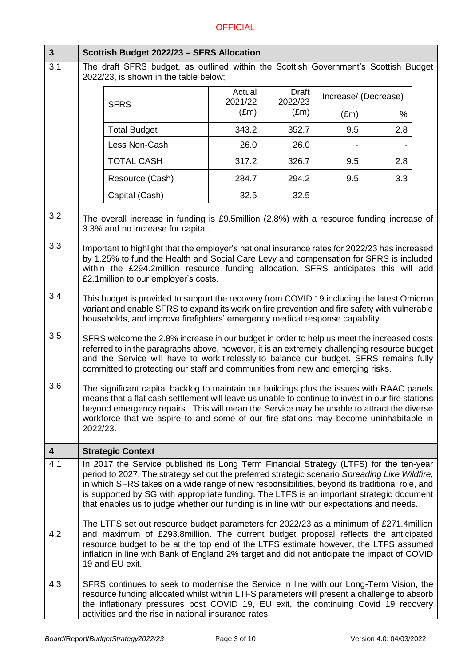| $\mathbf{3}$            | Scottish Budget 2022/23 - SFRS Allocation                                                                                                                                                                                                                                                                                                                                                                                                                                         |                     |                   |                         |                      |     |  |
|-------------------------|-----------------------------------------------------------------------------------------------------------------------------------------------------------------------------------------------------------------------------------------------------------------------------------------------------------------------------------------------------------------------------------------------------------------------------------------------------------------------------------|---------------------|-------------------|-------------------------|----------------------|-----|--|
| 3.1                     | The draft SFRS budget, as outlined within the Scottish Government's Scottish Budget<br>2022/23, is shown in the table below;                                                                                                                                                                                                                                                                                                                                                      |                     |                   |                         |                      |     |  |
|                         |                                                                                                                                                                                                                                                                                                                                                                                                                                                                                   | <b>SFRS</b>         | Actual<br>2021/22 | <b>Draft</b><br>2022/23 | Increase/ (Decrease) |     |  |
|                         |                                                                                                                                                                                                                                                                                                                                                                                                                                                                                   |                     | $(\text{Em})$     | $(\text{Em})$           | $(\text{Em})$        | %   |  |
|                         |                                                                                                                                                                                                                                                                                                                                                                                                                                                                                   | <b>Total Budget</b> | 343.2             | 352.7                   | 9.5                  | 2.8 |  |
|                         |                                                                                                                                                                                                                                                                                                                                                                                                                                                                                   | Less Non-Cash       | 26.0              | 26.0                    |                      |     |  |
|                         |                                                                                                                                                                                                                                                                                                                                                                                                                                                                                   | <b>TOTAL CASH</b>   | 317.2             | 326.7                   | 9.5                  | 2.8 |  |
|                         |                                                                                                                                                                                                                                                                                                                                                                                                                                                                                   | Resource (Cash)     | 284.7             | 294.2                   | 9.5                  | 3.3 |  |
|                         |                                                                                                                                                                                                                                                                                                                                                                                                                                                                                   | Capital (Cash)      | 32.5              | 32.5                    |                      |     |  |
| 3.2                     | The overall increase in funding is £9.5million (2.8%) with a resource funding increase of<br>3.3% and no increase for capital.                                                                                                                                                                                                                                                                                                                                                    |                     |                   |                         |                      |     |  |
| 3.3                     | Important to highlight that the employer's national insurance rates for 2022/23 has increased<br>by 1.25% to fund the Health and Social Care Levy and compensation for SFRS is included<br>within the £294.2million resource funding allocation. SFRS anticipates this will add<br>£2.1 million to our employer's costs.                                                                                                                                                          |                     |                   |                         |                      |     |  |
| 3.4                     | This budget is provided to support the recovery from COVID 19 including the latest Omicron<br>variant and enable SFRS to expand its work on fire prevention and fire safety with vulnerable<br>households, and improve firefighters' emergency medical response capability.                                                                                                                                                                                                       |                     |                   |                         |                      |     |  |
| 3.5                     | SFRS welcome the 2.8% increase in our budget in order to help us meet the increased costs<br>referred to in the paragraphs above, however, it is an extremely challenging resource budget<br>and the Service will have to work tirelessly to balance our budget. SFRS remains fully<br>committed to protecting our staff and communities from new and emerging risks.                                                                                                             |                     |                   |                         |                      |     |  |
| 3.6                     | The significant capital backlog to maintain our buildings plus the issues with RAAC panels<br>means that a flat cash settlement will leave us unable to continue to invest in our fire stations<br>beyond emergency repairs. This will mean the Service may be unable to attract the diverse<br>workforce that we aspire to and some of our fire stations may become uninhabitable in<br>2022/23.                                                                                 |                     |                   |                         |                      |     |  |
| $\overline{\mathbf{4}}$ | <b>Strategic Context</b>                                                                                                                                                                                                                                                                                                                                                                                                                                                          |                     |                   |                         |                      |     |  |
| 4.1                     | In 2017 the Service published its Long Term Financial Strategy (LTFS) for the ten-year<br>period to 2027. The strategy set out the preferred strategic scenario Spreading Like Wildfire,<br>in which SFRS takes on a wide range of new responsibilities, beyond its traditional role, and<br>is supported by SG with appropriate funding. The LTFS is an important strategic document<br>that enables us to judge whether our funding is in line with our expectations and needs. |                     |                   |                         |                      |     |  |
| 4.2                     | The LTFS set out resource budget parameters for 2022/23 as a minimum of £271.4million<br>and maximum of £293.8million. The current budget proposal reflects the anticipated<br>resource budget to be at the top end of the LTFS estimate however, the LTFS assumed<br>inflation in line with Bank of England 2% target and did not anticipate the impact of COVID<br>19 and EU exit.                                                                                              |                     |                   |                         |                      |     |  |
| 4.3                     | SFRS continues to seek to modernise the Service in line with our Long-Term Vision, the<br>resource funding allocated whilst within LTFS parameters will present a challenge to absorb<br>the inflationary pressures post COVID 19, EU exit, the continuing Covid 19 recovery<br>activities and the rise in national insurance rates.                                                                                                                                              |                     |                   |                         |                      |     |  |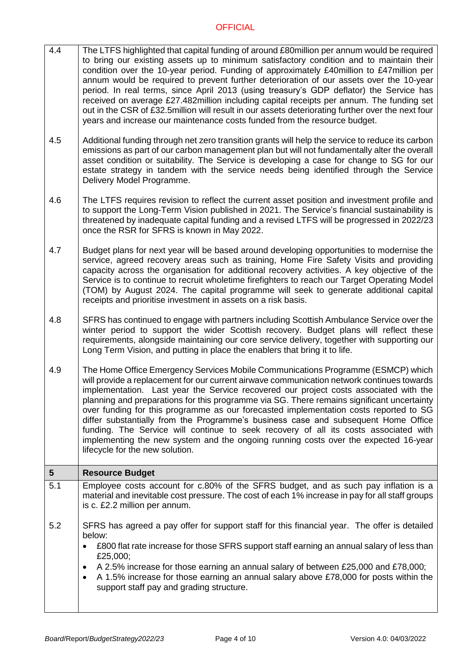- 4.4 The LTFS highlighted that capital funding of around £80million per annum would be required to bring our existing assets up to minimum satisfactory condition and to maintain their condition over the 10-year period. Funding of approximately £40million to £47million per annum would be required to prevent further deterioration of our assets over the 10-year period. In real terms, since April 2013 (using treasury's GDP deflator) the Service has received on average £27.482million including capital receipts per annum. The funding set out in the CSR of £32.5million will result in our assets deteriorating further over the next four years and increase our maintenance costs funded from the resource budget.
- 4.5 Additional funding through net zero transition grants will help the service to reduce its carbon emissions as part of our carbon management plan but will not fundamentally alter the overall asset condition or suitability. The Service is developing a case for change to SG for our estate strategy in tandem with the service needs being identified through the Service Delivery Model Programme.
- 4.6 The LTFS requires revision to reflect the current asset position and investment profile and to support the Long-Term Vision published in 2021. The Service's financial sustainability is threatened by inadequate capital funding and a revised LTFS will be progressed in 2022/23 once the RSR for SFRS is known in May 2022.
- 4.7 Budget plans for next year will be based around developing opportunities to modernise the service, agreed recovery areas such as training, Home Fire Safety Visits and providing capacity across the organisation for additional recovery activities. A key objective of the Service is to continue to recruit wholetime firefighters to reach our Target Operating Model (TOM) by August 2024. The capital programme will seek to generate additional capital receipts and prioritise investment in assets on a risk basis.
- 4.8 SFRS has continued to engage with partners including Scottish Ambulance Service over the winter period to support the wider Scottish recovery. Budget plans will reflect these requirements, alongside maintaining our core service delivery, together with supporting our Long Term Vision, and putting in place the enablers that bring it to life.
- 4.9 The Home Office Emergency Services Mobile Communications Programme (ESMCP) which will provide a replacement for our current airwave communication network continues towards implementation. Last year the Service recovered our project costs associated with the planning and preparations for this programme via SG. There remains significant uncertainty over funding for this programme as our forecasted implementation costs reported to SG differ substantially from the Programme's business case and subsequent Home Office funding. The Service will continue to seek recovery of all its costs associated with implementing the new system and the ongoing running costs over the expected 16-year lifecycle for the new solution.

| $5\overline{5}$ | <b>Resource Budget</b>                                                                                                                                                                                                                                                                                                                                                                                                                                                |  |  |  |  |
|-----------------|-----------------------------------------------------------------------------------------------------------------------------------------------------------------------------------------------------------------------------------------------------------------------------------------------------------------------------------------------------------------------------------------------------------------------------------------------------------------------|--|--|--|--|
| 5.1             | Employee costs account for c.80% of the SFRS budget, and as such pay inflation is a<br>material and inevitable cost pressure. The cost of each 1% increase in pay for all staff groups<br>is c. £2.2 million per annum.                                                                                                                                                                                                                                               |  |  |  |  |
| 5.2             | SFRS has agreed a pay offer for support staff for this financial year. The offer is detailed<br>below:<br>£800 flat rate increase for those SFRS support staff earning an annual salary of less than<br>£25,000;<br>A 2.5% increase for those earning an annual salary of between £25,000 and £78,000;<br>$\bullet$<br>A 1.5% increase for those earning an annual salary above £78,000 for posts within the<br>$\bullet$<br>support staff pay and grading structure. |  |  |  |  |
|                 |                                                                                                                                                                                                                                                                                                                                                                                                                                                                       |  |  |  |  |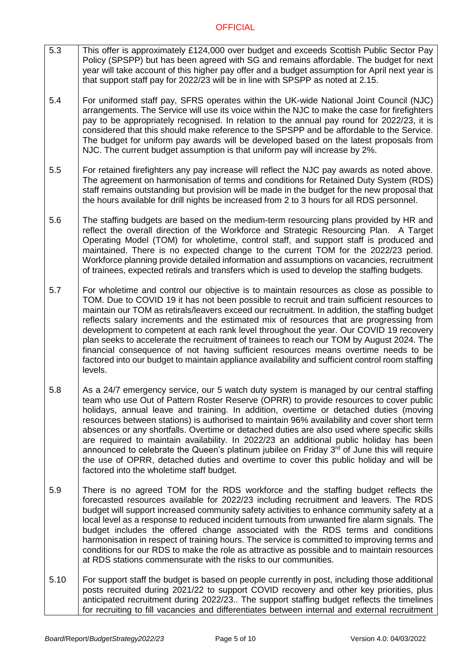- 5.3 This offer is approximately £124,000 over budget and exceeds Scottish Public Sector Pay Policy (SPSPP) but has been agreed with SG and remains affordable. The budget for next year will take account of this higher pay offer and a budget assumption for April next year is that support staff pay for 2022/23 will be in line with SPSPP as noted at 2.15.
- 5.4 For uniformed staff pay, SFRS operates within the UK-wide National Joint Council (NJC) arrangements. The Service will use its voice within the NJC to make the case for firefighters pay to be appropriately recognised. In relation to the annual pay round for 2022/23, it is considered that this should make reference to the SPSPP and be affordable to the Service. The budget for uniform pay awards will be developed based on the latest proposals from NJC. The current budget assumption is that uniform pay will increase by 2%.
- 5.5 For retained firefighters any pay increase will reflect the NJC pay awards as noted above. The agreement on harmonisation of terms and conditions for Retained Duty System (RDS) staff remains outstanding but provision will be made in the budget for the new proposal that the hours available for drill nights be increased from 2 to 3 hours for all RDS personnel.
- 5.6 The staffing budgets are based on the medium-term resourcing plans provided by HR and reflect the overall direction of the Workforce and Strategic Resourcing Plan. A Target Operating Model (TOM) for wholetime, control staff, and support staff is produced and maintained. There is no expected change to the current TOM for the 2022/23 period. Workforce planning provide detailed information and assumptions on vacancies, recruitment of trainees, expected retirals and transfers which is used to develop the staffing budgets.
- 5.7 For wholetime and control our objective is to maintain resources as close as possible to TOM. Due to COVID 19 it has not been possible to recruit and train sufficient resources to maintain our TOM as retirals/leavers exceed our recruitment. In addition, the staffing budget reflects salary increments and the estimated mix of resources that are progressing from development to competent at each rank level throughout the year. Our COVID 19 recovery plan seeks to accelerate the recruitment of trainees to reach our TOM by August 2024. The financial consequence of not having sufficient resources means overtime needs to be factored into our budget to maintain appliance availability and sufficient control room staffing levels.
- 5.8 As a 24/7 emergency service, our 5 watch duty system is managed by our central staffing team who use Out of Pattern Roster Reserve (OPRR) to provide resources to cover public holidays, annual leave and training. In addition, overtime or detached duties (moving resources between stations) is authorised to maintain 96% availability and cover short term absences or any shortfalls. Overtime or detached duties are also used where specific skills are required to maintain availability. In 2022/23 an additional public holiday has been announced to celebrate the Queen's platinum jubilee on Friday  $3<sup>rd</sup>$  of June this will require the use of OPRR, detached duties and overtime to cover this public holiday and will be factored into the wholetime staff budget.
- 5.9 There is no agreed TOM for the RDS workforce and the staffing budget reflects the forecasted resources available for 2022/23 including recruitment and leavers. The RDS budget will support increased community safety activities to enhance community safety at a local level as a response to reduced incident turnouts from unwanted fire alarm signals. The budget includes the offered change associated with the RDS terms and conditions harmonisation in respect of training hours. The service is committed to improving terms and conditions for our RDS to make the role as attractive as possible and to maintain resources at RDS stations commensurate with the risks to our communities.
- 5.10 For support staff the budget is based on people currently in post, including those additional posts recruited during 2021/22 to support COVID recovery and other key priorities, plus anticipated recruitment during 2022/23.. The support staffing budget reflects the timelines for recruiting to fill vacancies and differentiates between internal and external recruitment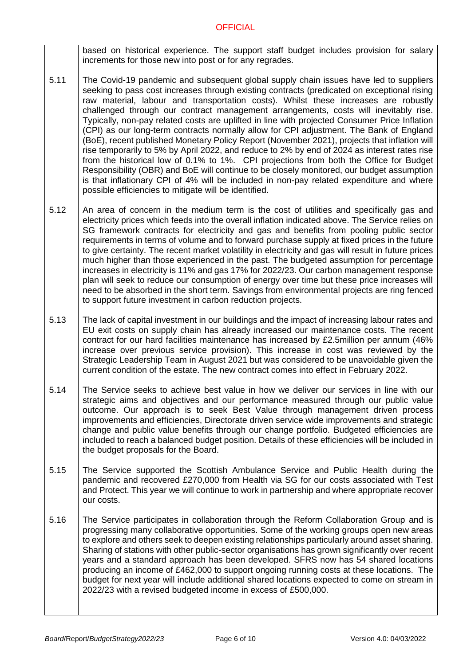based on historical experience. The support staff budget includes provision for salary increments for those new into post or for any regrades.

- 5.11 The Covid-19 pandemic and subsequent global supply chain issues have led to suppliers seeking to pass cost increases through existing contracts (predicated on exceptional rising raw material, labour and transportation costs). Whilst these increases are robustly challenged through our contract management arrangements, costs will inevitably rise. Typically, non-pay related costs are uplifted in line with projected Consumer Price Inflation (CPI) as our long-term contracts normally allow for CPI adjustment. The Bank of England (BoE), recent published Monetary Policy Report (November 2021), projects that inflation will rise temporarily to 5% by April 2022, and reduce to 2% by end of 2024 as interest rates rise from the historical low of 0.1% to 1%. CPI projections from both the Office for Budget Responsibility (OBR) and BoE will continue to be closely monitored, our budget assumption is that inflationary CPI of 4% will be included in non-pay related expenditure and where possible efficiencies to mitigate will be identified.
- 5.12 An area of concern in the medium term is the cost of utilities and specifically gas and electricity prices which feeds into the overall inflation indicated above. The Service relies on SG framework contracts for electricity and gas and benefits from pooling public sector requirements in terms of volume and to forward purchase supply at fixed prices in the future to give certainty. The recent market volatility in electricity and gas will result in future prices much higher than those experienced in the past. The budgeted assumption for percentage increases in electricity is 11% and gas 17% for 2022/23. Our carbon management response plan will seek to reduce our consumption of energy over time but these price increases will need to be absorbed in the short term. Savings from environmental projects are ring fenced to support future investment in carbon reduction projects.
- 5.13 The lack of capital investment in our buildings and the impact of increasing labour rates and EU exit costs on supply chain has already increased our maintenance costs. The recent contract for our hard facilities maintenance has increased by £2.5million per annum (46% increase over previous service provision). This increase in cost was reviewed by the Strategic Leadership Team in August 2021 but was considered to be unavoidable given the current condition of the estate. The new contract comes into effect in February 2022.
- 5.14 The Service seeks to achieve best value in how we deliver our services in line with our strategic aims and objectives and our performance measured through our public value outcome. Our approach is to seek Best Value through management driven process improvements and efficiencies, Directorate driven service wide improvements and strategic change and public value benefits through our change portfolio. Budgeted efficiencies are included to reach a balanced budget position. Details of these efficiencies will be included in the budget proposals for the Board.
- 5.15 The Service supported the Scottish Ambulance Service and Public Health during the pandemic and recovered £270,000 from Health via SG for our costs associated with Test and Protect. This year we will continue to work in partnership and where appropriate recover our costs.
- 5.16 The Service participates in collaboration through the Reform Collaboration Group and is progressing many collaborative opportunities. Some of the working groups open new areas to explore and others seek to deepen existing relationships particularly around asset sharing. Sharing of stations with other public-sector organisations has grown significantly over recent years and a standard approach has been developed. SFRS now has 54 shared locations producing an income of £462,000 to support ongoing running costs at these locations. The budget for next year will include additional shared locations expected to come on stream in 2022/23 with a revised budgeted income in excess of £500,000.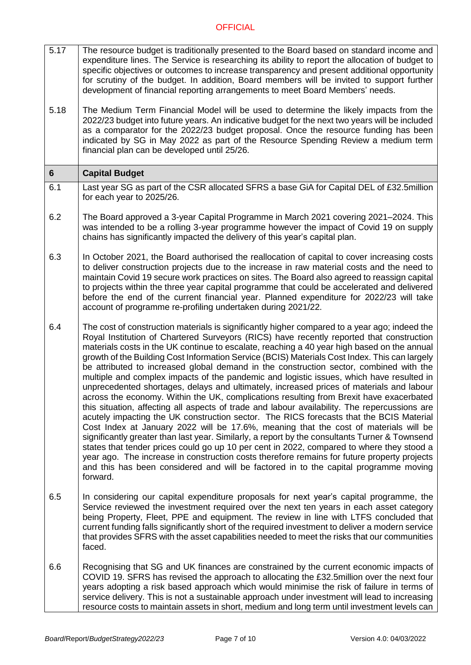- 5.17 The resource budget is traditionally presented to the Board based on standard income and expenditure lines. The Service is researching its ability to report the allocation of budget to specific objectives or outcomes to increase transparency and present additional opportunity for scrutiny of the budget. In addition, Board members will be invited to support further development of financial reporting arrangements to meet Board Members' needs.
- 5.18 The Medium Term Financial Model will be used to determine the likely impacts from the 2022/23 budget into future years. An indicative budget for the next two years will be included as a comparator for the 2022/23 budget proposal. Once the resource funding has been indicated by SG in May 2022 as part of the Resource Spending Review a medium term financial plan can be developed until 25/26.

# **6 Capital Budget**

- 6.1 Last year SG as part of the CSR allocated SFRS a base GiA for Capital DEL of £32.5million for each year to 2025/26.
- 6.2 The Board approved a 3-year Capital Programme in March 2021 covering 2021–2024. This was intended to be a rolling 3-year programme however the impact of Covid 19 on supply chains has significantly impacted the delivery of this year's capital plan.
- 6.3 In October 2021, the Board authorised the reallocation of capital to cover increasing costs to deliver construction projects due to the increase in raw material costs and the need to maintain Covid 19 secure work practices on sites. The Board also agreed to reassign capital to projects within the three year capital programme that could be accelerated and delivered before the end of the current financial year. Planned expenditure for 2022/23 will take account of programme re-profiling undertaken during 2021/22.
- 6.4 The cost of construction materials is significantly higher compared to a year ago; indeed the Royal Institution of Chartered Surveyors (RICS) have recently reported that construction materials costs in the UK continue to escalate, reaching a 40 year high based on the annual growth of the Building Cost Information Service (BCIS) Materials Cost Index. This can largely be attributed to increased global demand in the construction sector, combined with the multiple and complex impacts of the pandemic and logistic issues, which have resulted in unprecedented shortages, delays and ultimately, increased prices of materials and labour across the economy. Within the UK, complications resulting from Brexit have exacerbated this situation, affecting all aspects of trade and labour availability. The repercussions are acutely impacting the UK construction sector. The RICS forecasts that the BCIS Material Cost Index at January 2022 will be 17.6%, meaning that the cost of materials will be significantly greater than last year. Similarly, a report by the consultants Turner & Townsend states that tender prices could go up 10 per cent in 2022, compared to where they stood a year ago. The increase in construction costs therefore remains for future property projects and this has been considered and will be factored in to the capital programme moving forward.
- 6.5 In considering our capital expenditure proposals for next year's capital programme, the Service reviewed the investment required over the next ten years in each asset category being Property, Fleet, PPE and equipment. The review in line with LTFS concluded that current funding falls significantly short of the required investment to deliver a modern service that provides SFRS with the asset capabilities needed to meet the risks that our communities faced.
- 6.6 Recognising that SG and UK finances are constrained by the current economic impacts of COVID 19. SFRS has revised the approach to allocating the £32.5million over the next four years adopting a risk based approach which would minimise the risk of failure in terms of service delivery. This is not a sustainable approach under investment will lead to increasing resource costs to maintain assets in short, medium and long term until investment levels can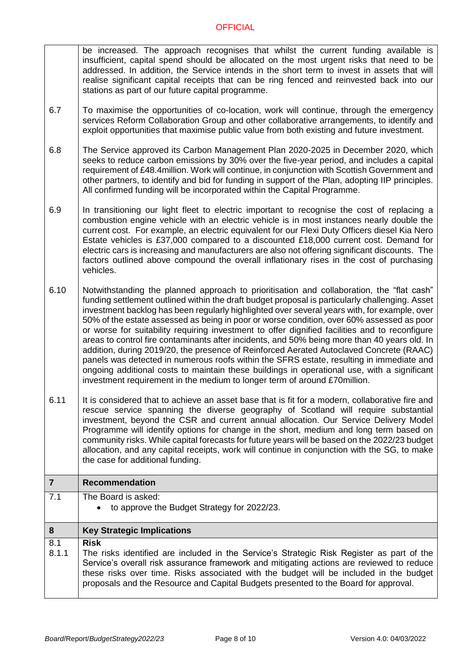be increased. The approach recognises that whilst the current funding available is insufficient, capital spend should be allocated on the most urgent risks that need to be addressed. In addition, the Service intends in the short term to invest in assets that will realise significant capital receipts that can be ring fenced and reinvested back into our stations as part of our future capital programme.

- 6.7 To maximise the opportunities of co-location, work will continue, through the emergency services Reform Collaboration Group and other collaborative arrangements, to identify and exploit opportunities that maximise public value from both existing and future investment.
- 6.8 The Service approved its Carbon Management Plan 2020-2025 in December 2020, which seeks to reduce carbon emissions by 30% over the five-year period, and includes a capital requirement of £48.4million. Work will continue, in conjunction with Scottish Government and other partners, to identify and bid for funding in support of the Plan, adopting IIP principles. All confirmed funding will be incorporated within the Capital Programme.
- 6.9 In transitioning our light fleet to electric important to recognise the cost of replacing a combustion engine vehicle with an electric vehicle is in most instances nearly double the current cost. For example, an electric equivalent for our Flexi Duty Officers diesel Kia Nero Estate vehicles is £37,000 compared to a discounted £18,000 current cost. Demand for electric cars is increasing and manufacturers are also not offering significant discounts. The factors outlined above compound the overall inflationary rises in the cost of purchasing vehicles.
- 6.10 Notwithstanding the planned approach to prioritisation and collaboration, the "flat cash" funding settlement outlined within the draft budget proposal is particularly challenging. Asset investment backlog has been regularly highlighted over several years with, for example, over 50% of the estate assessed as being in poor or worse condition, over 60% assessed as poor or worse for suitability requiring investment to offer dignified facilities and to reconfigure areas to control fire contaminants after incidents, and 50% being more than 40 years old. In addition, during 2019/20, the presence of Reinforced Aerated Autoclaved Concrete (RAAC) panels was detected in numerous roofs within the SFRS estate, resulting in immediate and ongoing additional costs to maintain these buildings in operational use, with a significant investment requirement in the medium to longer term of around £70million.
- 6.11 It is considered that to achieve an asset base that is fit for a modern, collaborative fire and rescue service spanning the diverse geography of Scotland will require substantial investment, beyond the CSR and current annual allocation. Our Service Delivery Model Programme will identify options for change in the short, medium and long term based on community risks. While capital forecasts for future years will be based on the 2022/23 budget allocation, and any capital receipts, work will continue in conjunction with the SG, to make the case for additional funding.

|              | <b>Recommendation</b>                                                                                                                                                                                                                                                                                                                                                                 |  |  |  |
|--------------|---------------------------------------------------------------------------------------------------------------------------------------------------------------------------------------------------------------------------------------------------------------------------------------------------------------------------------------------------------------------------------------|--|--|--|
| 7.1          | The Board is asked:<br>to approve the Budget Strategy for 2022/23.<br>$\bullet$                                                                                                                                                                                                                                                                                                       |  |  |  |
|              |                                                                                                                                                                                                                                                                                                                                                                                       |  |  |  |
| 8            | <b>Key Strategic Implications</b>                                                                                                                                                                                                                                                                                                                                                     |  |  |  |
| 8.1<br>8.1.1 | <b>Risk</b><br>The risks identified are included in the Service's Strategic Risk Register as part of the<br>Service's overall risk assurance framework and mitigating actions are reviewed to reduce<br>these risks over time. Risks associated with the budget will be included in the budget<br>proposals and the Resource and Capital Budgets presented to the Board for approval. |  |  |  |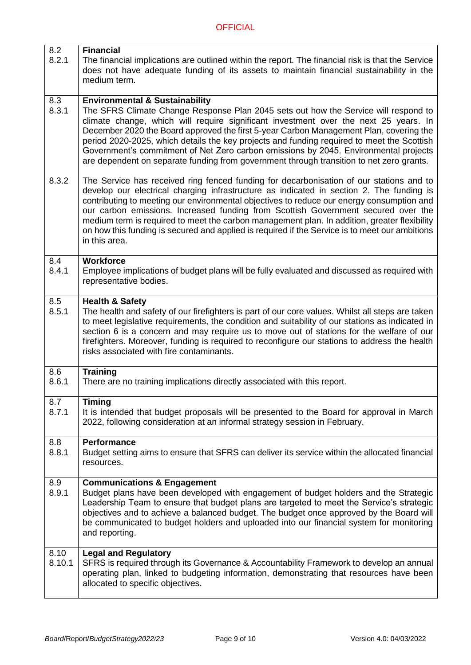| 8.2<br>8.2.1   | <b>Financial</b><br>The financial implications are outlined within the report. The financial risk is that the Service<br>does not have adequate funding of its assets to maintain financial sustainability in the<br>medium term.                                                                                                                                                                                                                                                                                                                                                                    |
|----------------|------------------------------------------------------------------------------------------------------------------------------------------------------------------------------------------------------------------------------------------------------------------------------------------------------------------------------------------------------------------------------------------------------------------------------------------------------------------------------------------------------------------------------------------------------------------------------------------------------|
| 8.3<br>8.3.1   | <b>Environmental &amp; Sustainability</b><br>The SFRS Climate Change Response Plan 2045 sets out how the Service will respond to<br>climate change, which will require significant investment over the next 25 years. In<br>December 2020 the Board approved the first 5-year Carbon Management Plan, covering the<br>period 2020-2025, which details the key projects and funding required to meet the Scottish<br>Government's commitment of Net Zero carbon emissions by 2045. Environmental projects<br>are dependent on separate funding from government through transition to net zero grants. |
| 8.3.2          | The Service has received ring fenced funding for decarbonisation of our stations and to<br>develop our electrical charging infrastructure as indicated in section 2. The funding is<br>contributing to meeting our environmental objectives to reduce our energy consumption and<br>our carbon emissions. Increased funding from Scottish Government secured over the<br>medium term is required to meet the carbon management plan. In addition, greater flexibility<br>on how this funding is secured and applied is required if the Service is to meet our ambitions<br>in this area.             |
| 8.4<br>8.4.1   | <b>Workforce</b><br>Employee implications of budget plans will be fully evaluated and discussed as required with<br>representative bodies.                                                                                                                                                                                                                                                                                                                                                                                                                                                           |
| 8.5<br>8.5.1   | <b>Health &amp; Safety</b><br>The health and safety of our firefighters is part of our core values. Whilst all steps are taken<br>to meet legislative requirements, the condition and suitability of our stations as indicated in<br>section 6 is a concern and may require us to move out of stations for the welfare of our<br>firefighters. Moreover, funding is required to reconfigure our stations to address the health<br>risks associated with fire contaminants.                                                                                                                           |
| 8.6<br>8.6.1   | <b>Training</b><br>There are no training implications directly associated with this report.                                                                                                                                                                                                                                                                                                                                                                                                                                                                                                          |
| 8.7<br>8.7.1   | <b>Timing</b><br>It is intended that budget proposals will be presented to the Board for approval in March<br>2022, following consideration at an informal strategy session in February.                                                                                                                                                                                                                                                                                                                                                                                                             |
| 8.8<br>8.8.1   | <b>Performance</b><br>Budget setting aims to ensure that SFRS can deliver its service within the allocated financial<br>resources.                                                                                                                                                                                                                                                                                                                                                                                                                                                                   |
| 8.9<br>8.9.1   | <b>Communications &amp; Engagement</b><br>Budget plans have been developed with engagement of budget holders and the Strategic<br>Leadership Team to ensure that budget plans are targeted to meet the Service's strategic<br>objectives and to achieve a balanced budget. The budget once approved by the Board will<br>be communicated to budget holders and uploaded into our financial system for monitoring<br>and reporting.                                                                                                                                                                   |
| 8.10<br>8.10.1 | <b>Legal and Regulatory</b><br>SFRS is required through its Governance & Accountability Framework to develop an annual<br>operating plan, linked to budgeting information, demonstrating that resources have been<br>allocated to specific objectives.                                                                                                                                                                                                                                                                                                                                               |